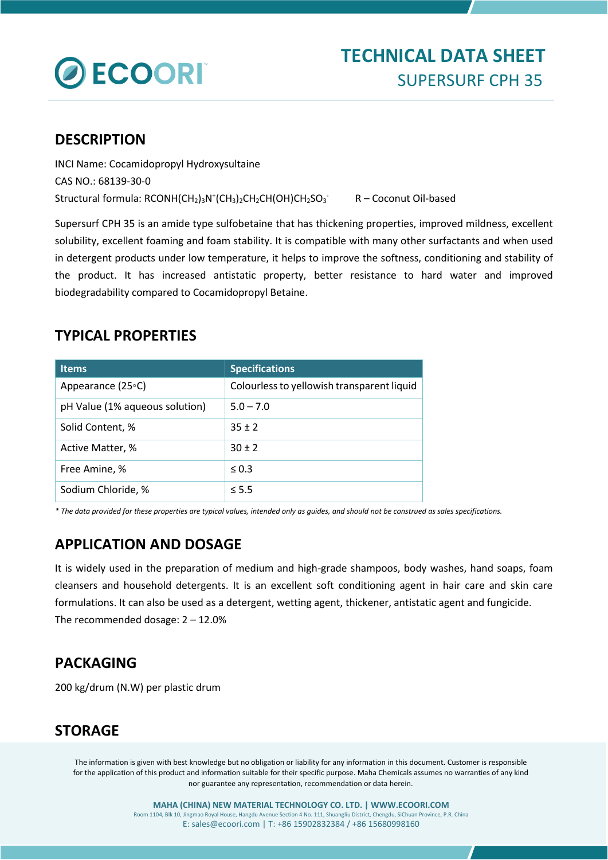

# **TECHNICAL DATA SHEET** SUPERSURF CPH 35

#### **DESCRIPTION**

INCI Name: Cocamidopropyl Hydroxysultaine CAS NO.: 68139-30-0 Structural formula: RCONH(CH2)3N<sup>+</sup>(CH3)2CH2CH(OH)CH2SO3 R - Coconut Oil-based

Supersurf CPH 35 is an amide type sulfobetaine that has thickening properties, improved mildness, excellent solubility, excellent foaming and foam stability. It is compatible with many other surfactants and when used in detergent products under low temperature, it helps to improve the softness, conditioning and stability of the product. It has increased antistatic property, better resistance to hard water and improved biodegradability compared to Cocamidopropyl Betaine.

### **TYPICAL PROPERTIES**

| <b>Items</b>                   | <b>Specifications</b>                      |
|--------------------------------|--------------------------------------------|
| Appearance (25°C)              | Colourless to yellowish transparent liquid |
| pH Value (1% aqueous solution) | $5.0 - 7.0$                                |
| Solid Content, %               | $35 \pm 2$                                 |
| Active Matter, %               | $30 \pm 2$                                 |
| Free Amine, %                  | $\leq 0.3$                                 |
| Sodium Chloride, %             | $\leq$ 5.5                                 |

*\* The data provided for these properties are typical values, intended only as guides, and should not be construed as sales specifications.*

# **APPLICATION AND DOSAGE**

It is widely used in the preparation of medium and high-grade shampoos, body washes, hand soaps, foam cleansers and household detergents. It is an excellent soft conditioning agent in hair care and skin care formulations. It can also be used as a detergent, wetting agent, thickener, antistatic agent and fungicide. The recommended dosage: 2 – 12.0%

## **PACKAGING**

200 kg/drum (N.W) per plastic drum

## **STORAGE**

The information is given with best knowledge but no obligation or liability for any information in this document. Customer is responsible for the application of this product and information suitable for their specific purpose. Maha Chemicals assumes no warranties of any kind nor guarantee any representation, recommendation or data herein.

> **MAHA (CHINA) NEW MATERIAL TECHNOLOGY CO. LTD. | WWW.ECOORI.COM** Room 1104, Blk 10, Jingmao Royal House, Hangdu Avenue Section 4 No. 111, Shuangliu District, Chengdu, SiChuan Province, P.R. China E: sales@ecoori.com | T: +86 15902832384 / +86 15680998160